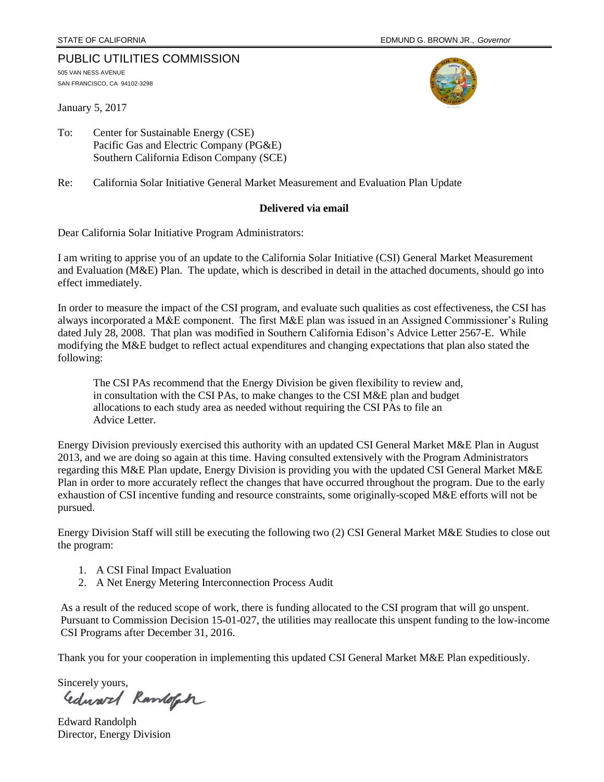### PUBLIC UTILITIES COMMISSION

505 VAN NESS AVENUE SAN FRANCISCO, CA 94102-3298

January 5, 2017



To: Center for Sustainable Energy (CSE) Pacific Gas and Electric Company (PG&E) Southern California Edison Company (SCE)

Re: California Solar Initiative General Market Measurement and Evaluation Plan Update

### **Delivered via email**

Dear California Solar Initiative Program Administrators:

I am writing to apprise you of an update to the California Solar Initiative (CSI) General Market Measurement and Evaluation (M&E) Plan. The update, which is described in detail in the attached documents, should go into effect immediately.

In order to measure the impact of the CSI program, and evaluate such qualities as cost effectiveness, the CSI has always incorporated a M&E component. The first M&E plan was issued in an Assigned Commissioner's Ruling dated July 28, 2008. That plan was modified in Southern California Edison's Advice Letter 2567-E. While modifying the M&E budget to reflect actual expenditures and changing expectations that plan also stated the following:

The CSI PAs recommend that the Energy Division be given flexibility to review and, in consultation with the CSI PAs, to make changes to the CSI M&E plan and budget allocations to each study area as needed without requiring the CSI PAs to file an Advice Letter.

Energy Division previously exercised this authority with an updated CSI General Market M&E Plan in August 2013, and we are doing so again at this time. Having consulted extensively with the Program Administrators regarding this M&E Plan update, Energy Division is providing you with the updated CSI General Market M&E Plan in order to more accurately reflect the changes that have occurred throughout the program. Due to the early exhaustion of CSI incentive funding and resource constraints, some originally-scoped M&E efforts will not be pursued.

Energy Division Staff will still be executing the following two (2) CSI General Market M&E Studies to close out the program:

- 1. A CSI Final Impact Evaluation
- 2. A Net Energy Metering Interconnection Process Audit

As a result of the reduced scope of work, there is funding allocated to the CSI program that will go unspent. Pursuant to Commission Decision 15-01-027, the utilities may reallocate this unspent funding to the low-income CSI Programs after December 31, 2016.

Thank you for your cooperation in implementing this updated CSI General Market M&E Plan expeditiously.

Sincerely yours,<br>Gedward Ramlofch

Edward Randolph Director, Energy Division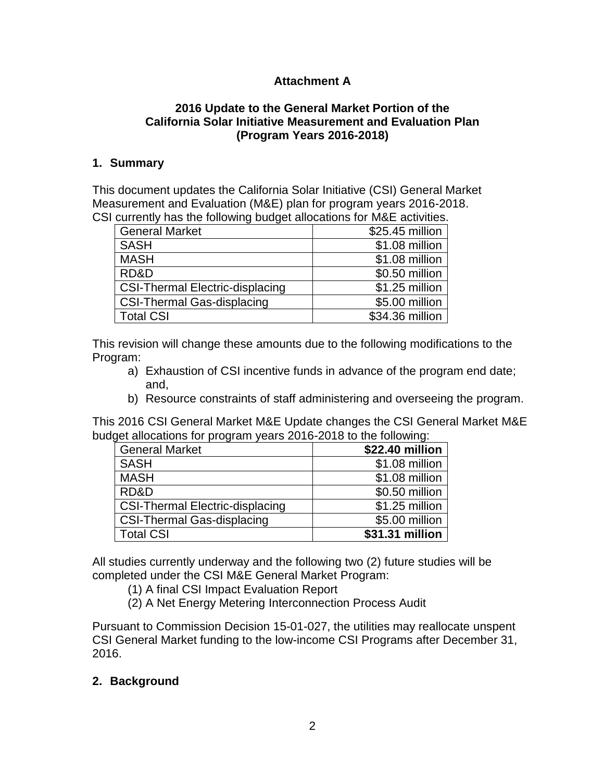# **Attachment A**

### **2016 Update to the General Market Portion of the California Solar Initiative Measurement and Evaluation Plan (Program Years 2016-2018)**

### **1. Summary**

This document updates the California Solar Initiative (CSI) General Market Measurement and Evaluation (M&E) plan for program years 2016-2018. CSI currently has the following budget allocations for M&E activities.

| <b>General Market</b>                  | \$25.45 million |
|----------------------------------------|-----------------|
| <b>SASH</b>                            | \$1.08 million  |
| <b>MASH</b>                            | \$1.08 million  |
| RD&D                                   | \$0.50 million  |
| <b>CSI-Thermal Electric-displacing</b> | \$1.25 million  |
| <b>CSI-Thermal Gas-displacing</b>      | \$5.00 million  |
| <b>Total CSI</b>                       | \$34.36 million |

This revision will change these amounts due to the following modifications to the Program:

- a) Exhaustion of CSI incentive funds in advance of the program end date; and,
- b) Resource constraints of staff administering and overseeing the program.

This 2016 CSI General Market M&E Update changes the CSI General Market M&E budget allocations for program years 2016-2018 to the following:

| <b>General Market</b>                  | \$22.40 million |
|----------------------------------------|-----------------|
| <b>SASH</b>                            | \$1.08 million  |
| <b>MASH</b>                            | \$1.08 million  |
| RD&D                                   | \$0.50 million  |
| <b>CSI-Thermal Electric-displacing</b> | \$1.25 million  |
| <b>CSI-Thermal Gas-displacing</b>      | \$5.00 million  |
| <b>Total CSI</b>                       | \$31.31 million |

All studies currently underway and the following two (2) future studies will be completed under the CSI M&E General Market Program:

(1) A final CSI Impact Evaluation Report

(2) A Net Energy Metering Interconnection Process Audit

Pursuant to Commission Decision 15-01-027, the utilities may reallocate unspent CSI General Market funding to the low-income CSI Programs after December 31, 2016.

### **2. Background**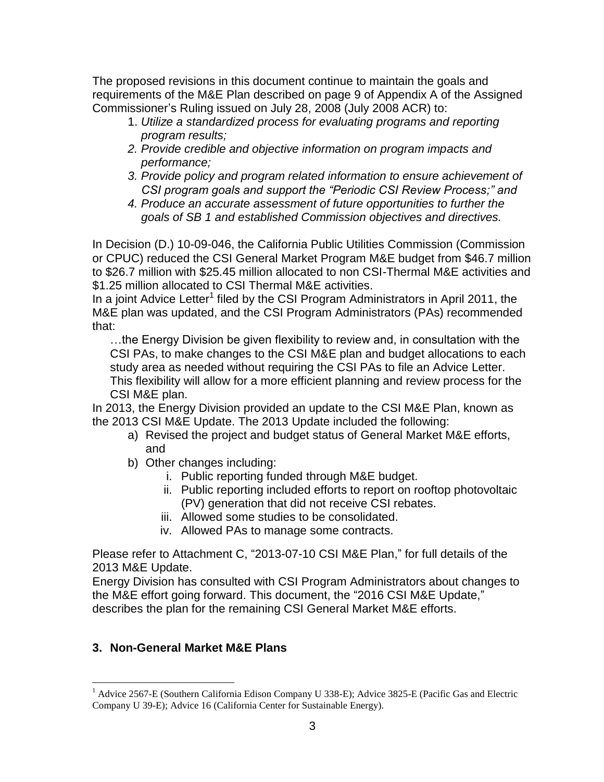The proposed revisions in this document continue to maintain the goals and requirements of the M&E Plan described on page 9 of Appendix A of the Assigned Commissioner's Ruling issued on July 28, 2008 (July 2008 ACR) to:

- 1. *Utilize a standardized process for evaluating programs and reporting program results;*
- *2. Provide credible and objective information on program impacts and performance;*
- *3. Provide policy and program related information to ensure achievement of CSI program goals and support the "Periodic CSI Review Process;" and*
- *4. Produce an accurate assessment of future opportunities to further the goals of SB 1 and established Commission objectives and directives.*

In Decision (D.) 10-09-046, the California Public Utilities Commission (Commission or CPUC) reduced the CSI General Market Program M&E budget from \$46.7 million to \$26.7 million with \$25.45 million allocated to non CSI-Thermal M&E activities and \$1.25 million allocated to CSI Thermal M&E activities.

In a joint Advice Letter<sup>1</sup> filed by the CSI Program Administrators in April 2011, the M&E plan was updated, and the CSI Program Administrators (PAs) recommended that:

…the Energy Division be given flexibility to review and, in consultation with the CSI PAs, to make changes to the CSI M&E plan and budget allocations to each study area as needed without requiring the CSI PAs to file an Advice Letter. This flexibility will allow for a more efficient planning and review process for the CSI M&E plan.

In 2013, the Energy Division provided an update to the CSI M&E Plan, known as the 2013 CSI M&E Update. The 2013 Update included the following:

- a) Revised the project and budget status of General Market M&E efforts, and
- b) Other changes including:
	- i. Public reporting funded through M&E budget.
	- ii. Public reporting included efforts to report on rooftop photovoltaic (PV) generation that did not receive CSI rebates.
	- iii. Allowed some studies to be consolidated.
	- iv. Allowed PAs to manage some contracts.

Please refer to Attachment C, "2013-07-10 CSI M&E Plan," for full details of the 2013 M&E Update.

Energy Division has consulted with CSI Program Administrators about changes to the M&E effort going forward. This document, the "2016 CSI M&E Update," describes the plan for the remaining CSI General Market M&E efforts.

## **3. Non-General Market M&E Plans**

 $\overline{a}$ 

 $1$  Advice 2567-E (Southern California Edison Company U 338-E); Advice 3825-E (Pacific Gas and Electric Company U 39-E); Advice 16 (California Center for Sustainable Energy).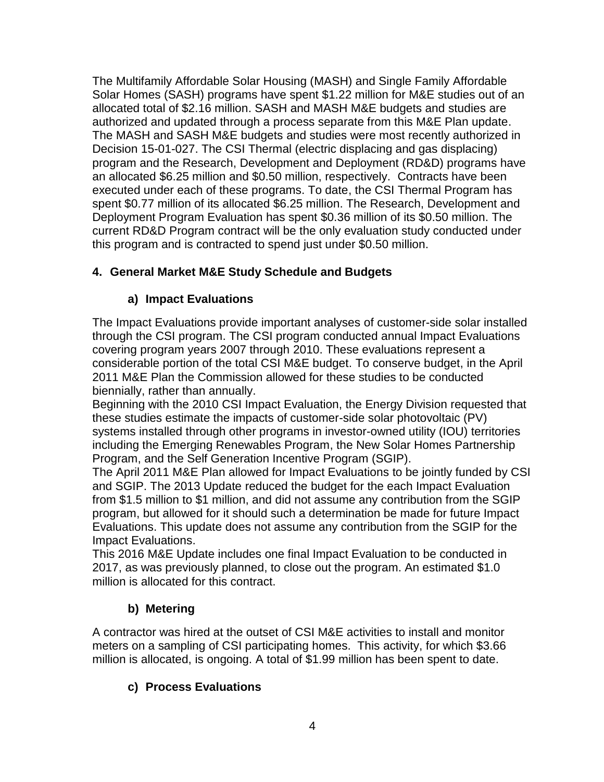The Multifamily Affordable Solar Housing (MASH) and Single Family Affordable Solar Homes (SASH) programs have spent \$1.22 million for M&E studies out of an allocated total of \$2.16 million. SASH and MASH M&E budgets and studies are authorized and updated through a process separate from this M&E Plan update. The MASH and SASH M&E budgets and studies were most recently authorized in Decision 15-01-027. The CSI Thermal (electric displacing and gas displacing) program and the Research, Development and Deployment (RD&D) programs have an allocated \$6.25 million and \$0.50 million, respectively. Contracts have been executed under each of these programs. To date, the CSI Thermal Program has spent \$0.77 million of its allocated \$6.25 million. The Research, Development and Deployment Program Evaluation has spent \$0.36 million of its \$0.50 million. The current RD&D Program contract will be the only evaluation study conducted under this program and is contracted to spend just under \$0.50 million.

# **4. General Market M&E Study Schedule and Budgets**

# **a) Impact Evaluations**

The Impact Evaluations provide important analyses of customer-side solar installed through the CSI program. The CSI program conducted annual Impact Evaluations covering program years 2007 through 2010. These evaluations represent a considerable portion of the total CSI M&E budget. To conserve budget, in the April 2011 M&E Plan the Commission allowed for these studies to be conducted biennially, rather than annually.

Beginning with the 2010 CSI Impact Evaluation, the Energy Division requested that these studies estimate the impacts of customer-side solar photovoltaic (PV) systems installed through other programs in investor-owned utility (IOU) territories including the Emerging Renewables Program, the New Solar Homes Partnership Program, and the Self Generation Incentive Program (SGIP).

The April 2011 M&E Plan allowed for Impact Evaluations to be jointly funded by CSI and SGIP. The 2013 Update reduced the budget for the each Impact Evaluation from \$1.5 million to \$1 million, and did not assume any contribution from the SGIP program, but allowed for it should such a determination be made for future Impact Evaluations. This update does not assume any contribution from the SGIP for the Impact Evaluations.

This 2016 M&E Update includes one final Impact Evaluation to be conducted in 2017, as was previously planned, to close out the program. An estimated \$1.0 million is allocated for this contract.

# **b) Metering**

A contractor was hired at the outset of CSI M&E activities to install and monitor meters on a sampling of CSI participating homes. This activity, for which \$3.66 million is allocated, is ongoing. A total of \$1.99 million has been spent to date.

## **c) Process Evaluations**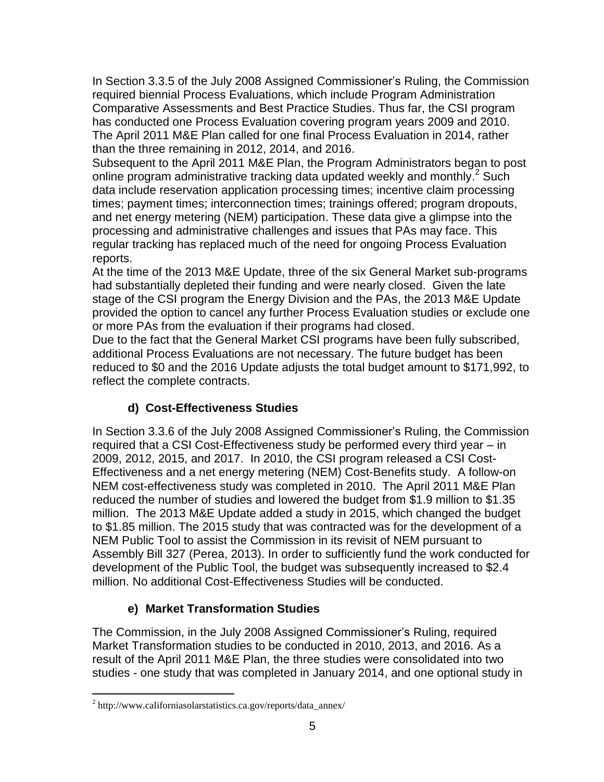In Section 3.3.5 of the July 2008 Assigned Commissioner's Ruling, the Commission required biennial Process Evaluations, which include Program Administration Comparative Assessments and Best Practice Studies. Thus far, the CSI program has conducted one Process Evaluation covering program years 2009 and 2010. The April 2011 M&E Plan called for one final Process Evaluation in 2014, rather than the three remaining in 2012, 2014, and 2016.

Subsequent to the April 2011 M&E Plan, the Program Administrators began to post online program administrative tracking data updated weekly and monthly.<sup>2</sup> Such data include reservation application processing times; incentive claim processing times; payment times; interconnection times; trainings offered; program dropouts, and net energy metering (NEM) participation. These data give a glimpse into the processing and administrative challenges and issues that PAs may face. This regular tracking has replaced much of the need for ongoing Process Evaluation reports.

At the time of the 2013 M&E Update, three of the six General Market sub-programs had substantially depleted their funding and were nearly closed. Given the late stage of the CSI program the Energy Division and the PAs, the 2013 M&E Update provided the option to cancel any further Process Evaluation studies or exclude one or more PAs from the evaluation if their programs had closed.

Due to the fact that the General Market CSI programs have been fully subscribed, additional Process Evaluations are not necessary. The future budget has been reduced to \$0 and the 2016 Update adjusts the total budget amount to \$171,992, to reflect the complete contracts.

## **d) Cost-Effectiveness Studies**

In Section 3.3.6 of the July 2008 Assigned Commissioner's Ruling, the Commission required that a CSI Cost-Effectiveness study be performed every third year – in 2009, 2012, 2015, and 2017. In 2010, the CSI program released a CSI Cost-Effectiveness and a net energy metering (NEM) Cost-Benefits study. A follow-on NEM cost-effectiveness study was completed in 2010. The April 2011 M&E Plan reduced the number of studies and lowered the budget from \$1.9 million to \$1.35 million. The 2013 M&E Update added a study in 2015, which changed the budget to \$1.85 million. The 2015 study that was contracted was for the development of a NEM Public Tool to assist the Commission in its revisit of NEM pursuant to Assembly Bill 327 (Perea, 2013). In order to sufficiently fund the work conducted for development of the Public Tool, the budget was subsequently increased to \$2.4 million. No additional Cost-Effectiveness Studies will be conducted.

# **e) Market Transformation Studies**

The Commission, in the July 2008 Assigned Commissioner's Ruling, required Market Transformation studies to be conducted in 2010, 2013, and 2016. As a result of the April 2011 M&E Plan, the three studies were consolidated into two studies - one study that was completed in January 2014, and one optional study in

 $\overline{a}$ 

<sup>&</sup>lt;sup>2</sup> http://www.californiasolarstatistics.ca.gov/reports/data\_annex/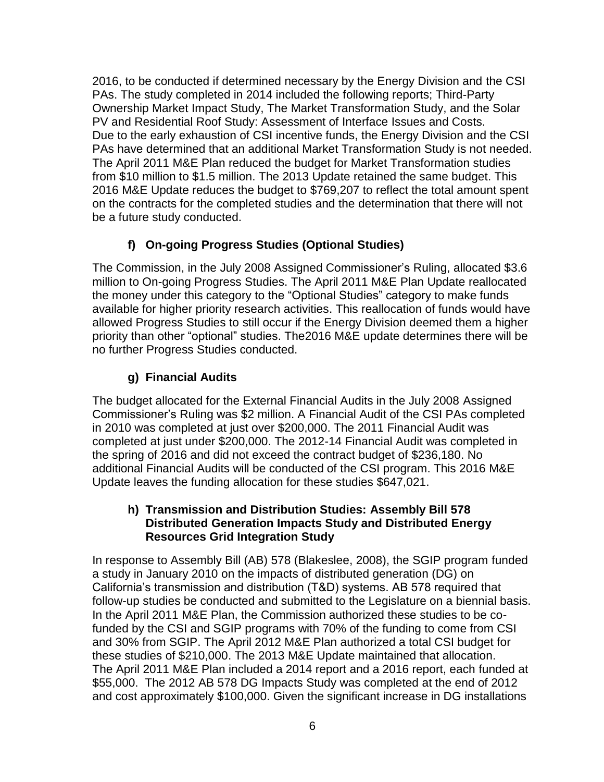2016, to be conducted if determined necessary by the Energy Division and the CSI PAs. The study completed in 2014 included the following reports; Third-Party Ownership Market Impact Study, The Market Transformation Study, and the Solar PV and Residential Roof Study: Assessment of Interface Issues and Costs. Due to the early exhaustion of CSI incentive funds, the Energy Division and the CSI PAs have determined that an additional Market Transformation Study is not needed. The April 2011 M&E Plan reduced the budget for Market Transformation studies from \$10 million to \$1.5 million. The 2013 Update retained the same budget. This 2016 M&E Update reduces the budget to \$769,207 to reflect the total amount spent on the contracts for the completed studies and the determination that there will not be a future study conducted.

## **f) On-going Progress Studies (Optional Studies)**

The Commission, in the July 2008 Assigned Commissioner's Ruling, allocated \$3.6 million to On-going Progress Studies. The April 2011 M&E Plan Update reallocated the money under this category to the "Optional Studies" category to make funds available for higher priority research activities. This reallocation of funds would have allowed Progress Studies to still occur if the Energy Division deemed them a higher priority than other "optional" studies. The2016 M&E update determines there will be no further Progress Studies conducted.

# **g) Financial Audits**

The budget allocated for the External Financial Audits in the July 2008 Assigned Commissioner's Ruling was \$2 million. A Financial Audit of the CSI PAs completed in 2010 was completed at just over \$200,000. The 2011 Financial Audit was completed at just under \$200,000. The 2012-14 Financial Audit was completed in the spring of 2016 and did not exceed the contract budget of \$236,180. No additional Financial Audits will be conducted of the CSI program. This 2016 M&E Update leaves the funding allocation for these studies \$647,021.

### **h) Transmission and Distribution Studies: Assembly Bill 578 Distributed Generation Impacts Study and Distributed Energy Resources Grid Integration Study**

In response to Assembly Bill (AB) 578 (Blakeslee, 2008), the SGIP program funded a study in January 2010 on the impacts of distributed generation (DG) on California's transmission and distribution (T&D) systems. AB 578 required that follow-up studies be conducted and submitted to the Legislature on a biennial basis. In the April 2011 M&E Plan, the Commission authorized these studies to be cofunded by the CSI and SGIP programs with 70% of the funding to come from CSI and 30% from SGIP. The April 2012 M&E Plan authorized a total CSI budget for these studies of \$210,000. The 2013 M&E Update maintained that allocation. The April 2011 M&E Plan included a 2014 report and a 2016 report, each funded at \$55,000. The 2012 AB 578 DG Impacts Study was completed at the end of 2012 and cost approximately \$100,000. Given the significant increase in DG installations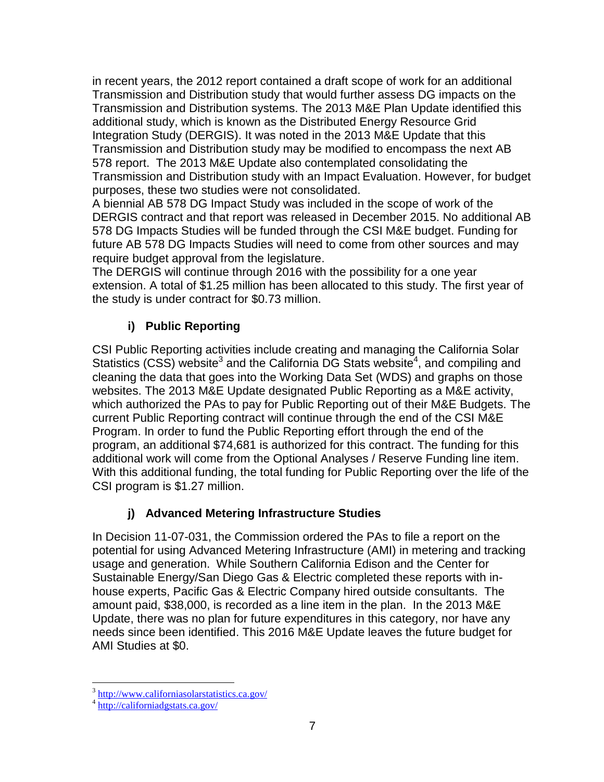in recent years, the 2012 report contained a draft scope of work for an additional Transmission and Distribution study that would further assess DG impacts on the Transmission and Distribution systems. The 2013 M&E Plan Update identified this additional study, which is known as the Distributed Energy Resource Grid Integration Study (DERGIS). It was noted in the 2013 M&E Update that this Transmission and Distribution study may be modified to encompass the next AB 578 report. The 2013 M&E Update also contemplated consolidating the Transmission and Distribution study with an Impact Evaluation. However, for budget purposes, these two studies were not consolidated.

A biennial AB 578 DG Impact Study was included in the scope of work of the DERGIS contract and that report was released in December 2015. No additional AB 578 DG Impacts Studies will be funded through the CSI M&E budget. Funding for future AB 578 DG Impacts Studies will need to come from other sources and may require budget approval from the legislature.

The DERGIS will continue through 2016 with the possibility for a one year extension. A total of \$1.25 million has been allocated to this study. The first year of the study is under contract for \$0.73 million.

# **i) Public Reporting**

CSI Public Reporting activities include creating and managing the California Solar Statistics (CSS) website<sup>3</sup> and the California DG Stats website<sup>4</sup>, and compiling and cleaning the data that goes into the Working Data Set (WDS) and graphs on those websites. The 2013 M&E Update designated Public Reporting as a M&E activity, which authorized the PAs to pay for Public Reporting out of their M&E Budgets. The current Public Reporting contract will continue through the end of the CSI M&E Program. In order to fund the Public Reporting effort through the end of the program, an additional \$74,681 is authorized for this contract. The funding for this additional work will come from the Optional Analyses / Reserve Funding line item. With this additional funding, the total funding for Public Reporting over the life of the CSI program is \$1.27 million.

# **j) Advanced Metering Infrastructure Studies**

In Decision 11-07-031, the Commission ordered the PAs to file a report on the potential for using Advanced Metering Infrastructure (AMI) in metering and tracking usage and generation. While Southern California Edison and the Center for Sustainable Energy/San Diego Gas & Electric completed these reports with inhouse experts, Pacific Gas & Electric Company hired outside consultants. The amount paid, \$38,000, is recorded as a line item in the plan. In the 2013 M&E Update, there was no plan for future expenditures in this category, nor have any needs since been identified. This 2016 M&E Update leaves the future budget for AMI Studies at \$0.

 3 <http://www.californiasolarstatistics.ca.gov/>

<sup>4</sup> <http://californiadgstats.ca.gov/>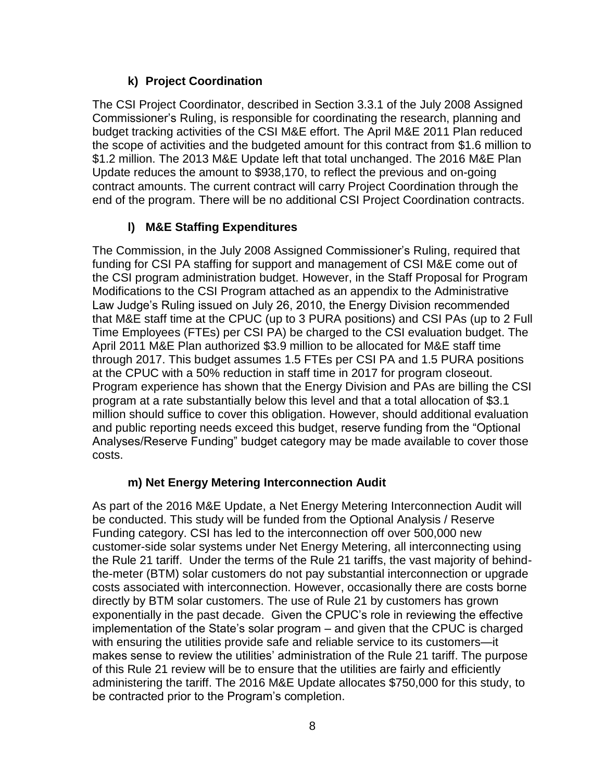# **k) Project Coordination**

The CSI Project Coordinator, described in Section 3.3.1 of the July 2008 Assigned Commissioner's Ruling, is responsible for coordinating the research, planning and budget tracking activities of the CSI M&E effort. The April M&E 2011 Plan reduced the scope of activities and the budgeted amount for this contract from \$1.6 million to \$1.2 million. The 2013 M&E Update left that total unchanged. The 2016 M&E Plan Update reduces the amount to \$938,170, to reflect the previous and on-going contract amounts. The current contract will carry Project Coordination through the end of the program. There will be no additional CSI Project Coordination contracts.

# **l) M&E Staffing Expenditures**

The Commission, in the July 2008 Assigned Commissioner's Ruling, required that funding for CSI PA staffing for support and management of CSI M&E come out of the CSI program administration budget. However, in the Staff Proposal for Program Modifications to the CSI Program attached as an appendix to the Administrative Law Judge's Ruling issued on July 26, 2010, the Energy Division recommended that M&E staff time at the CPUC (up to 3 PURA positions) and CSI PAs (up to 2 Full Time Employees (FTEs) per CSI PA) be charged to the CSI evaluation budget. The April 2011 M&E Plan authorized \$3.9 million to be allocated for M&E staff time through 2017. This budget assumes 1.5 FTEs per CSI PA and 1.5 PURA positions at the CPUC with a 50% reduction in staff time in 2017 for program closeout. Program experience has shown that the Energy Division and PAs are billing the CSI program at a rate substantially below this level and that a total allocation of \$3.1 million should suffice to cover this obligation. However, should additional evaluation and public reporting needs exceed this budget, reserve funding from the "Optional Analyses/Reserve Funding" budget category may be made available to cover those costs.

## **m) Net Energy Metering Interconnection Audit**

As part of the 2016 M&E Update, a Net Energy Metering Interconnection Audit will be conducted. This study will be funded from the Optional Analysis / Reserve Funding category. CSI has led to the interconnection off over 500,000 new customer-side solar systems under Net Energy Metering, all interconnecting using the Rule 21 tariff. Under the terms of the Rule 21 tariffs, the vast majority of behindthe-meter (BTM) solar customers do not pay substantial interconnection or upgrade costs associated with interconnection. However, occasionally there are costs borne directly by BTM solar customers. The use of Rule 21 by customers has grown exponentially in the past decade. Given the CPUC's role in reviewing the effective implementation of the State's solar program – and given that the CPUC is charged with ensuring the utilities provide safe and reliable service to its customers—it makes sense to review the utilities' administration of the Rule 21 tariff. The purpose of this Rule 21 review will be to ensure that the utilities are fairly and efficiently administering the tariff. The 2016 M&E Update allocates \$750,000 for this study, to be contracted prior to the Program's completion.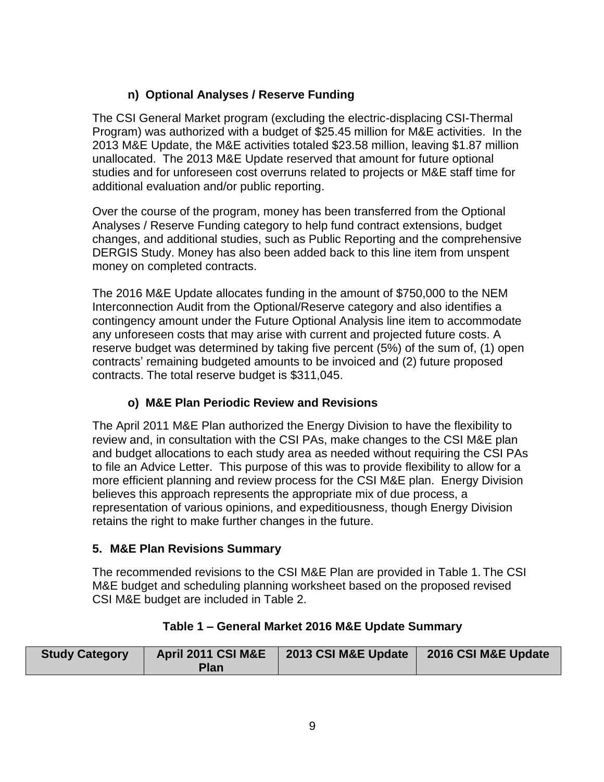# **n) Optional Analyses / Reserve Funding**

The CSI General Market program (excluding the electric-displacing CSI-Thermal Program) was authorized with a budget of \$25.45 million for M&E activities. In the 2013 M&E Update, the M&E activities totaled \$23.58 million, leaving \$1.87 million unallocated. The 2013 M&E Update reserved that amount for future optional studies and for unforeseen cost overruns related to projects or M&E staff time for additional evaluation and/or public reporting.

Over the course of the program, money has been transferred from the Optional Analyses / Reserve Funding category to help fund contract extensions, budget changes, and additional studies, such as Public Reporting and the comprehensive DERGIS Study. Money has also been added back to this line item from unspent money on completed contracts.

The 2016 M&E Update allocates funding in the amount of \$750,000 to the NEM Interconnection Audit from the Optional/Reserve category and also identifies a contingency amount under the Future Optional Analysis line item to accommodate any unforeseen costs that may arise with current and projected future costs. A reserve budget was determined by taking five percent (5%) of the sum of, (1) open contracts' remaining budgeted amounts to be invoiced and (2) future proposed contracts. The total reserve budget is \$311,045.

# **o) M&E Plan Periodic Review and Revisions**

The April 2011 M&E Plan authorized the Energy Division to have the flexibility to review and, in consultation with the CSI PAs, make changes to the CSI M&E plan and budget allocations to each study area as needed without requiring the CSI PAs to file an Advice Letter. This purpose of this was to provide flexibility to allow for a more efficient planning and review process for the CSI M&E plan. Energy Division believes this approach represents the appropriate mix of due process, a representation of various opinions, and expeditiousness, though Energy Division retains the right to make further changes in the future.

# **5. M&E Plan Revisions Summary**

The recommended revisions to the CSI M&E Plan are provided in Table 1. The CSI M&E budget and scheduling planning worksheet based on the proposed revised CSI M&E budget are included in Table 2.

| <b>Study Category</b> | April 2011 CSI M&E | 2013 CSI M&E Update | 2016 CSI M&E Update |
|-----------------------|--------------------|---------------------|---------------------|
|                       | Plan               |                     |                     |

## **Table 1 – General Market 2016 M&E Update Summary**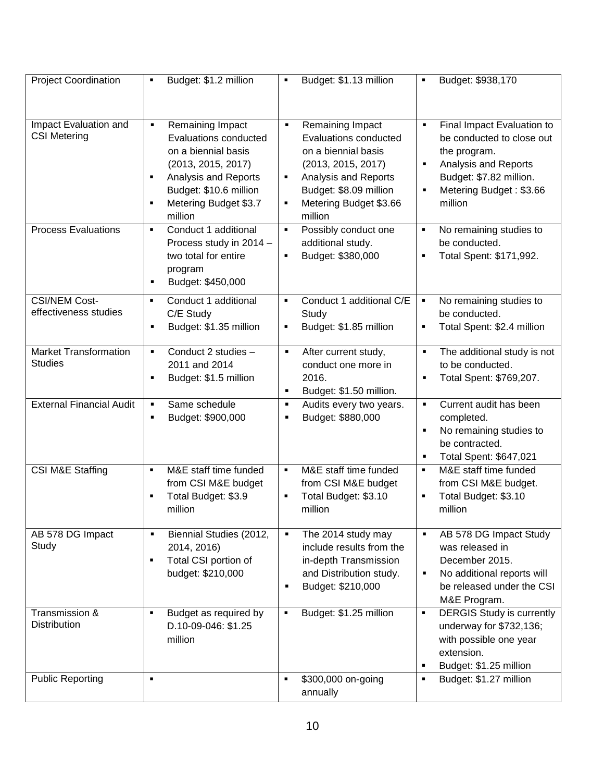| <b>Project Coordination</b>                    | Budget: \$1.2 million<br>п                                                                                                                                                                               | Budget: \$1.13 million<br>٠                                                                                                                                                                                      | Budget: \$938,170<br>٠                                                                                                                                                                               |
|------------------------------------------------|----------------------------------------------------------------------------------------------------------------------------------------------------------------------------------------------------------|------------------------------------------------------------------------------------------------------------------------------------------------------------------------------------------------------------------|------------------------------------------------------------------------------------------------------------------------------------------------------------------------------------------------------|
|                                                |                                                                                                                                                                                                          |                                                                                                                                                                                                                  |                                                                                                                                                                                                      |
| Impact Evaluation and<br><b>CSI Metering</b>   | Remaining Impact<br>٠<br>Evaluations conducted<br>on a biennial basis<br>(2013, 2015, 2017)<br>Analysis and Reports<br>$\blacksquare$<br>Budget: \$10.6 million<br>Metering Budget \$3.7<br>П<br>million | Remaining Impact<br>$\blacksquare$<br><b>Evaluations conducted</b><br>on a biennial basis<br>(2013, 2015, 2017)<br>Analysis and Reports<br>٠<br>Budget: \$8.09 million<br>Metering Budget \$3.66<br>٠<br>million | Final Impact Evaluation to<br>$\blacksquare$<br>be conducted to close out<br>the program.<br>Analysis and Reports<br>$\blacksquare$<br>Budget: \$7.82 million.<br>Metering Budget: \$3.66<br>million |
| <b>Process Evaluations</b>                     | Conduct 1 additional<br>×,<br>Process study in 2014 -<br>two total for entire<br>program<br>Budget: \$450,000<br>٠                                                                                       | Possibly conduct one<br>$\blacksquare$<br>additional study.<br>Budget: \$380,000<br>Ξ                                                                                                                            | No remaining studies to<br>٠<br>be conducted.<br>Total Spent: \$171,992.<br>П                                                                                                                        |
| <b>CSI/NEM Cost-</b><br>effectiveness studies  | Conduct 1 additional<br>$\blacksquare$<br>C/E Study<br>Budget: \$1.35 million                                                                                                                            | Conduct 1 additional C/E<br>$\blacksquare$<br>Study<br>Budget: \$1.85 million<br>٠                                                                                                                               | No remaining studies to<br>Ξ<br>be conducted.<br>Total Spent: \$2.4 million<br>٠                                                                                                                     |
| <b>Market Transformation</b><br><b>Studies</b> | Conduct 2 studies -<br>٠<br>2011 and 2014<br>Budget: \$1.5 million<br>$\blacksquare$                                                                                                                     | After current study,<br>$\blacksquare$<br>conduct one more in<br>2016.<br>Budget: \$1.50 million.<br>$\blacksquare$                                                                                              | The additional study is not<br>$\blacksquare$<br>to be conducted.<br>Total Spent: \$769,207.<br>$\blacksquare$                                                                                       |
| <b>External Financial Audit</b>                | Same schedule<br>Budget: \$900,000<br>٠                                                                                                                                                                  | Audits every two years.<br>$\blacksquare$<br>Budget: \$880,000<br>٠                                                                                                                                              | Current audit has been<br>$\blacksquare$<br>completed.<br>No remaining studies to<br>٠<br>be contracted.<br>Total Spent: \$647,021<br>٠                                                              |
| CSI M&E Staffing                               | M&E staff time funded<br>п<br>from CSI M&E budget<br>Total Budget: \$3.9<br>П<br>million                                                                                                                 | M&E staff time funded<br>٠<br>from CSI M&E budget<br>Total Budget: \$3.10<br>Ξ<br>million                                                                                                                        | M&E staff time funded<br>٠<br>from CSI M&E budget.<br>Total Budget: \$3.10<br>$\blacksquare$<br>million                                                                                              |
| AB 578 DG Impact<br>Study                      | Biennial Studies (2012,<br>2014, 2016)<br>Total CSI portion of<br>п<br>budget: \$210,000                                                                                                                 | The 2014 study may<br>$\blacksquare$<br>include results from the<br>in-depth Transmission<br>and Distribution study.<br>Budget: \$210,000<br>$\blacksquare$                                                      | AB 578 DG Impact Study<br>was released in<br>December 2015.<br>No additional reports will<br>$\blacksquare$<br>be released under the CSI<br>M&E Program.                                             |
| Transmission &<br><b>Distribution</b>          | Budget as required by<br>$\blacksquare$<br>D.10-09-046: \$1.25<br>million                                                                                                                                | Budget: \$1.25 million<br>$\blacksquare$                                                                                                                                                                         | <b>DERGIS Study is currently</b><br>$\blacksquare$<br>underway for \$732,136;<br>with possible one year<br>extension.<br>Budget: \$1.25 million<br>٠                                                 |
| <b>Public Reporting</b>                        | $\blacksquare$                                                                                                                                                                                           | \$300,000 on-going<br>$\blacksquare$<br>annually                                                                                                                                                                 | Budget: \$1.27 million<br>П                                                                                                                                                                          |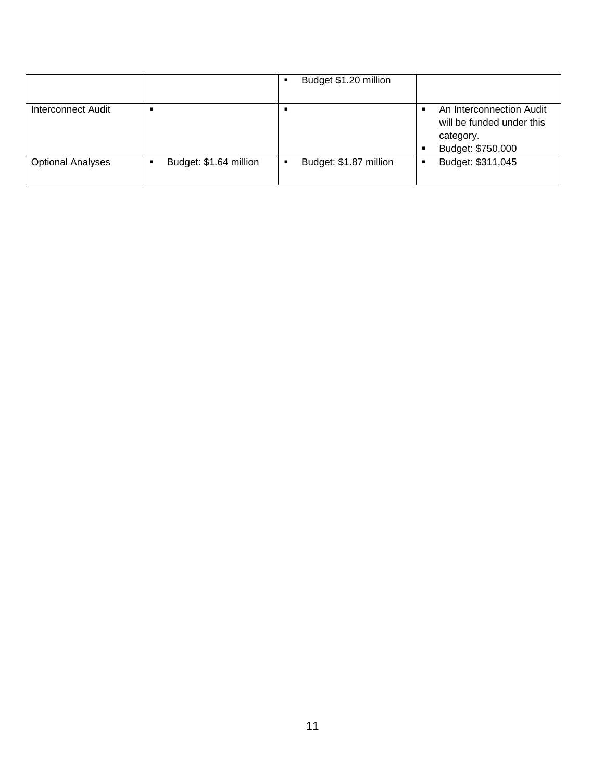|                          |                        | Budget \$1.20 million       |                                                                                         |
|--------------------------|------------------------|-----------------------------|-----------------------------------------------------------------------------------------|
| Interconnect Audit       |                        |                             | An Interconnection Audit<br>will be funded under this<br>category.<br>Budget: \$750,000 |
| <b>Optional Analyses</b> | Budget: \$1.64 million | Budget: \$1.87 million<br>٠ | Budget: \$311,045                                                                       |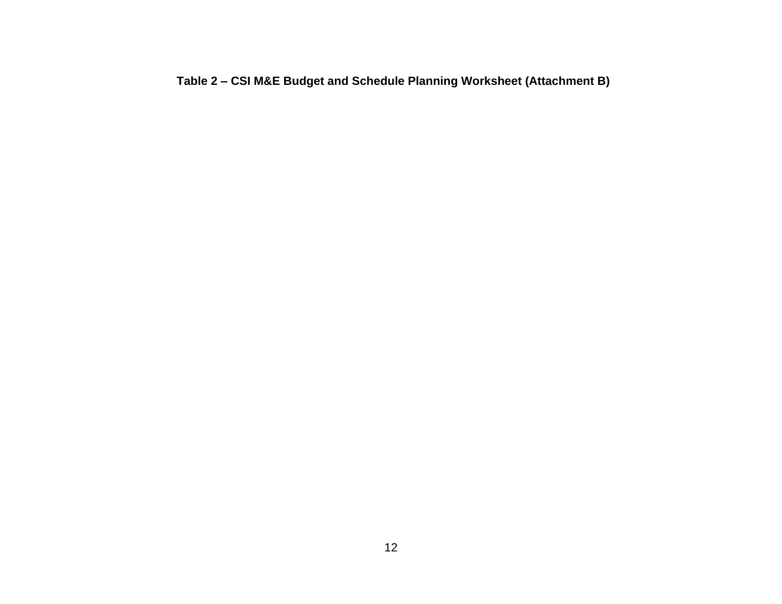**Table 2 – CSI M&E Budget and Schedule Planning Worksheet (Attachment B)**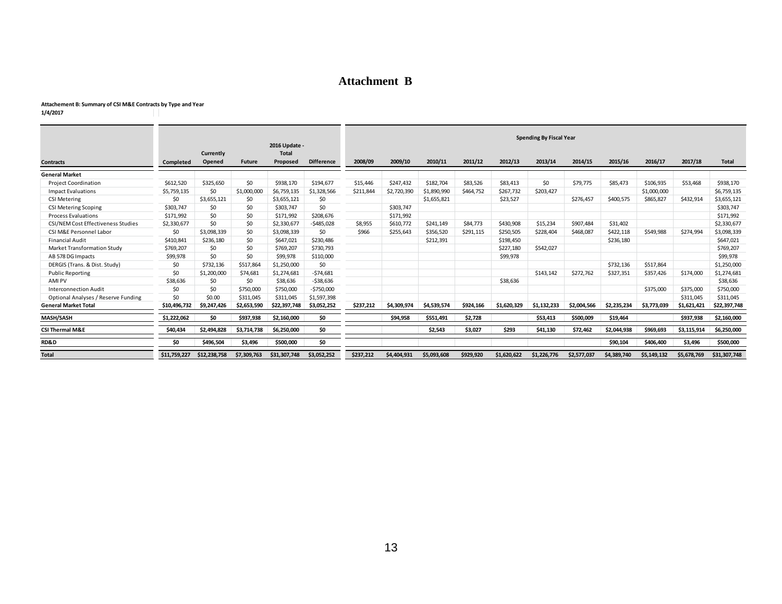### **Attachment B**

#### **Attachement B: Summary of CSI M&E Contracts by Type and Year**

-11

**1/4/2017**

|                                           |              | Currently    |               | 2016 Update -<br><b>Total</b> |                   | <b>Spending By Fiscal Year</b> |             |             |           |             |             |             |             |             |             |              |
|-------------------------------------------|--------------|--------------|---------------|-------------------------------|-------------------|--------------------------------|-------------|-------------|-----------|-------------|-------------|-------------|-------------|-------------|-------------|--------------|
| <b>Contracts</b>                          | Completed    | Opened       | <b>Future</b> | Proposed                      | <b>Difference</b> | 2008/09                        | 2009/10     | 2010/11     | 2011/12   | 2012/13     | 2013/14     | 2014/15     | 2015/16     | 2016/17     | 2017/18     | <b>Total</b> |
| <b>General Market</b>                     |              |              |               |                               |                   |                                |             |             |           |             |             |             |             |             |             |              |
| <b>Project Coordination</b>               | \$612,520    | \$325,650    | \$0           | \$938,170                     | \$194,677         | \$15,446                       | \$247,432   | \$182,704   | \$83,526  | \$83,413    | \$0         | \$79,775    | \$85,473    | \$106,935   | \$53,468    | \$938,170    |
| <b>Impact Evaluations</b>                 | \$5,759,135  | \$0          | \$1,000,000   | \$6,759,135                   | \$1,328,566       | \$211,844                      | \$2,720,390 | \$1,890,990 | \$464.752 | \$267,732   | \$203,427   |             |             | \$1,000,000 |             | \$6,759,135  |
| <b>CSI Metering</b>                       | \$0          | \$3,655,121  | \$0           | \$3,655,121                   | \$0               |                                |             | \$1,655,821 |           | \$23,527    |             | \$276,457   | \$400,575   | \$865,827   | \$432,914   | \$3,655,121  |
| <b>CSI Metering Scoping</b>               | \$303,747    | \$0          | \$0           | \$303,747                     | \$0               |                                | \$303,747   |             |           |             |             |             |             |             |             | \$303,747    |
| Process Evaluations                       | \$171,992    | \$0          | \$0           | \$171,992                     | \$208,676         |                                | \$171,992   |             |           |             |             |             |             |             |             | \$171,992    |
| <b>CSI/NEM Cost Effectiveness Studies</b> | \$2,330,677  | \$0          | \$0           | \$2,330,677                   | $-$ \$485,028     | \$8,955                        | \$610,772   | \$241,149   | \$84,773  | \$430,908   | \$15,234    | \$907,484   | \$31,402    |             |             | \$2,330,677  |
| CSI M&E Personnel Labor                   | \$0          | \$3,098,339  | \$0           | \$3,098,339                   | \$0               | \$966                          | \$255,643   | \$356,520   | \$291,115 | \$250,505   | \$228,404   | \$468,087   | \$422,118   | \$549,988   | \$274.994   | \$3,098,339  |
| <b>Financial Audit</b>                    | \$410,841    | \$236,180    | \$0           | \$647,021                     | \$230,486         |                                |             | \$212,391   |           | \$198,450   |             |             | \$236,180   |             |             | \$647,021    |
| Market Transformation Study               | \$769,207    | \$0          | \$0           | \$769,207                     | \$730,793         |                                |             |             |           | \$227,180   | \$542.027   |             |             |             |             | \$769,207    |
| AB 578 DG Impacts                         | \$99,978     | \$0          | \$0           | \$99,978                      | \$110,000         |                                |             |             |           | \$99,978    |             |             |             |             |             | \$99,978     |
| DERGIS (Trans. & Dist. Study)             | \$0          | \$732,136    | \$517,864     | \$1,250,000                   | \$0               |                                |             |             |           |             |             |             | \$732,136   | \$517,864   |             | \$1,250,000  |
| <b>Public Reporting</b>                   | \$0          | \$1,200,000  | \$74,681      | \$1,274,681                   | $-574,681$        |                                |             |             |           |             | \$143,142   | \$272,762   | \$327,351   | \$357,426   | \$174,000   | \$1,274,681  |
| AMI PV                                    | \$38,636     | \$0          | \$0           | \$38,636                      | $-538,636$        |                                |             |             |           | \$38,636    |             |             |             |             |             | \$38,636     |
| <b>Interconnection Audit</b>              | \$0          | \$0          | \$750,000     | \$750,000                     | $-5750,000$       |                                |             |             |           |             |             |             |             | \$375,000   | \$375,000   | \$750,000    |
| Optional Analyses / Reserve Funding       | \$0          | \$0.00       | \$311,045     | \$311,045                     | \$1,597,398       |                                |             |             |           |             |             |             |             |             | \$311,045   | \$311,045    |
| <b>General Market Total</b>               | \$10,496,732 | \$9.247.426  | \$2,653,590   | \$22,397,748                  | \$3,052,252       | \$237,212                      | \$4,309,974 | \$4,539,574 | \$924.166 | \$1,620,329 | \$1,132,233 | \$2,004,566 | \$2,235,234 | \$3,773,039 | \$1,621,421 | \$22,397,748 |
| <b>MASH/SASH</b>                          | \$1,222,062  | \$0          | \$937,938     | \$2,160,000                   | \$0               |                                | \$94,958    | \$551,491   | \$2,728   |             | \$53,413    | \$500,009   | \$19,464    |             | \$937,938   | \$2,160,000  |
| <b>CSI Thermal M&amp;E</b>                | \$40,434     | \$2,494,828  | \$3.714.738   | \$6.250.000                   | \$0               |                                |             | \$2,543     | \$3,027   | \$293       | \$41,130    | \$72,462    | \$2,044,938 | \$969.693   | \$3,115,914 | \$6,250,000  |
| <b>RD&amp;D</b>                           | \$0          | \$496,504    | \$3,496       | \$500,000                     | \$0               |                                |             |             |           |             |             |             | \$90,104    | \$406,400   | \$3,496     | \$500,000    |
| <b>Total</b>                              | \$11.759.227 | \$12,238,758 | \$7,309,763   | \$31,307,748                  | \$3,052,252       | \$237,212                      | \$4,404,931 | \$5,093,608 | \$929,920 | \$1,620,622 | \$1,226,776 | \$2,577,037 | \$4,389,740 | \$5,149,132 | \$5,678,769 | \$31,307,748 |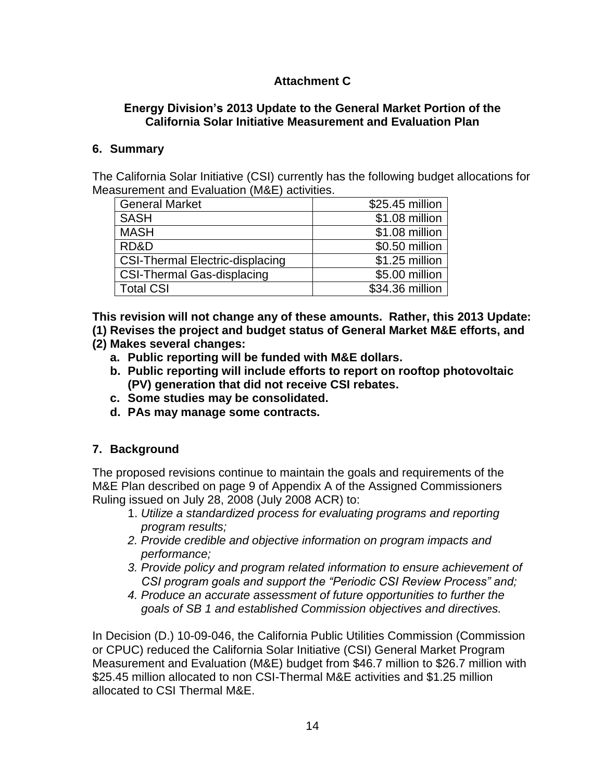# **Attachment C**

### **Energy Division's 2013 Update to the General Market Portion of the California Solar Initiative Measurement and Evaluation Plan**

### **6. Summary**

The California Solar Initiative (CSI) currently has the following budget allocations for Measurement and Evaluation (M&E) activities.

| <b>General Market</b>                  | \$25.45 million |
|----------------------------------------|-----------------|
| <b>SASH</b>                            | \$1.08 million  |
| <b>MASH</b>                            | \$1.08 million  |
| RD&D                                   | \$0.50 million  |
| <b>CSI-Thermal Electric-displacing</b> | \$1.25 million  |
| <b>CSI-Thermal Gas-displacing</b>      | \$5.00 million  |
| <b>Total CSI</b>                       | \$34.36 million |

**This revision will not change any of these amounts. Rather, this 2013 Update:**

**(1) Revises the project and budget status of General Market M&E efforts, and** 

- **(2) Makes several changes:**
	- **a. Public reporting will be funded with M&E dollars.**
	- **b. Public reporting will include efforts to report on rooftop photovoltaic (PV) generation that did not receive CSI rebates.**
	- **c. Some studies may be consolidated.**
	- **d. PAs may manage some contracts.**

## **7. Background**

The proposed revisions continue to maintain the goals and requirements of the M&E Plan described on page 9 of Appendix A of the Assigned Commissioners Ruling issued on July 28, 2008 (July 2008 ACR) to:

- 1. *Utilize a standardized process for evaluating programs and reporting program results;*
- *2. Provide credible and objective information on program impacts and performance;*
- *3. Provide policy and program related information to ensure achievement of CSI program goals and support the "Periodic CSI Review Process" and;*
- *4. Produce an accurate assessment of future opportunities to further the goals of SB 1 and established Commission objectives and directives.*

In Decision (D.) 10-09-046, the California Public Utilities Commission (Commission or CPUC) reduced the California Solar Initiative (CSI) General Market Program Measurement and Evaluation (M&E) budget from \$46.7 million to \$26.7 million with \$25.45 million allocated to non CSI-Thermal M&E activities and \$1.25 million allocated to CSI Thermal M&E.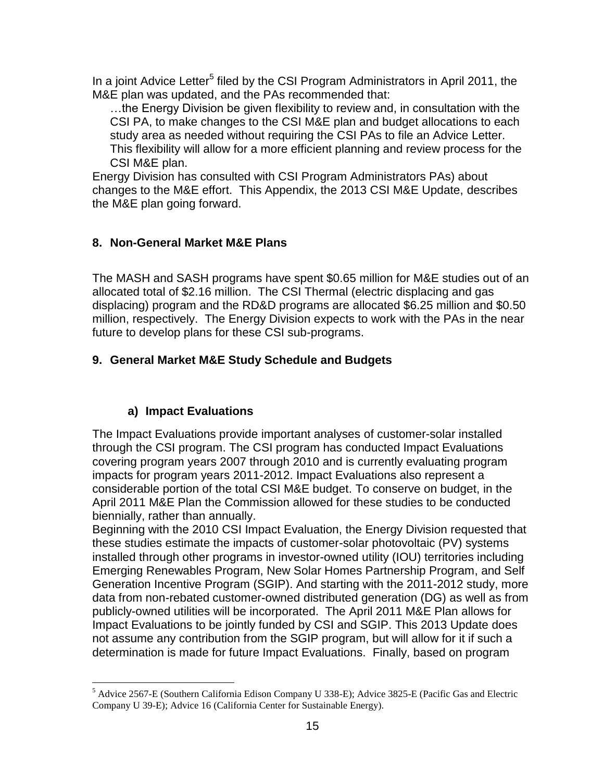In a joint Advice Letter<sup>5</sup> filed by the CSI Program Administrators in April 2011, the M&E plan was updated, and the PAs recommended that:

…the Energy Division be given flexibility to review and, in consultation with the CSI PA, to make changes to the CSI M&E plan and budget allocations to each study area as needed without requiring the CSI PAs to file an Advice Letter. This flexibility will allow for a more efficient planning and review process for the CSI M&E plan.

Energy Division has consulted with CSI Program Administrators PAs) about changes to the M&E effort. This Appendix, the 2013 CSI M&E Update, describes the M&E plan going forward.

### **8. Non-General Market M&E Plans**

The MASH and SASH programs have spent \$0.65 million for M&E studies out of an allocated total of \$2.16 million. The CSI Thermal (electric displacing and gas displacing) program and the RD&D programs are allocated \$6.25 million and \$0.50 million, respectively. The Energy Division expects to work with the PAs in the near future to develop plans for these CSI sub-programs.

## **9. General Market M&E Study Schedule and Budgets**

## **a) Impact Evaluations**

 $\overline{a}$ 

The Impact Evaluations provide important analyses of customer-solar installed through the CSI program. The CSI program has conducted Impact Evaluations covering program years 2007 through 2010 and is currently evaluating program impacts for program years 2011-2012. Impact Evaluations also represent a considerable portion of the total CSI M&E budget. To conserve on budget, in the April 2011 M&E Plan the Commission allowed for these studies to be conducted biennially, rather than annually.

Beginning with the 2010 CSI Impact Evaluation, the Energy Division requested that these studies estimate the impacts of customer-solar photovoltaic (PV) systems installed through other programs in investor-owned utility (IOU) territories including Emerging Renewables Program, New Solar Homes Partnership Program, and Self Generation Incentive Program (SGIP). And starting with the 2011-2012 study, more data from non-rebated customer-owned distributed generation (DG) as well as from publicly-owned utilities will be incorporated. The April 2011 M&E Plan allows for Impact Evaluations to be jointly funded by CSI and SGIP. This 2013 Update does not assume any contribution from the SGIP program, but will allow for it if such a determination is made for future Impact Evaluations. Finally, based on program

<sup>5</sup> Advice 2567-E (Southern California Edison Company U 338-E); Advice 3825-E (Pacific Gas and Electric Company U 39-E); Advice 16 (California Center for Sustainable Energy).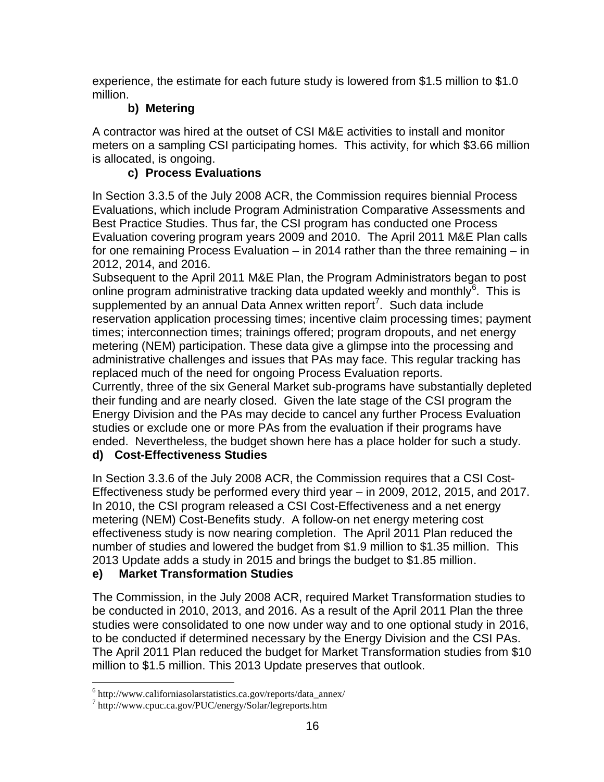experience, the estimate for each future study is lowered from \$1.5 million to \$1.0 million.

# **b) Metering**

A contractor was hired at the outset of CSI M&E activities to install and monitor meters on a sampling CSI participating homes. This activity, for which \$3.66 million is allocated, is ongoing.

# **c) Process Evaluations**

In Section 3.3.5 of the July 2008 ACR, the Commission requires biennial Process Evaluations, which include Program Administration Comparative Assessments and Best Practice Studies. Thus far, the CSI program has conducted one Process Evaluation covering program years 2009 and 2010. The April 2011 M&E Plan calls for one remaining Process Evaluation – in 2014 rather than the three remaining – in 2012, 2014, and 2016.

Subsequent to the April 2011 M&E Plan, the Program Administrators began to post online program administrative tracking data updated weekly and monthly $6$ . This is supplemented by an annual Data Annex written report<sup>7</sup>. Such data include reservation application processing times; incentive claim processing times; payment times; interconnection times; trainings offered; program dropouts, and net energy metering (NEM) participation. These data give a glimpse into the processing and administrative challenges and issues that PAs may face. This regular tracking has replaced much of the need for ongoing Process Evaluation reports.

Currently, three of the six General Market sub-programs have substantially depleted their funding and are nearly closed. Given the late stage of the CSI program the Energy Division and the PAs may decide to cancel any further Process Evaluation studies or exclude one or more PAs from the evaluation if their programs have ended. Nevertheless, the budget shown here has a place holder for such a study.

## **d) Cost-Effectiveness Studies**

In Section 3.3.6 of the July 2008 ACR, the Commission requires that a CSI Cost-Effectiveness study be performed every third year – in 2009, 2012, 2015, and 2017. In 2010, the CSI program released a CSI Cost-Effectiveness and a net energy metering (NEM) Cost-Benefits study. A follow-on net energy metering cost effectiveness study is now nearing completion. The April 2011 Plan reduced the number of studies and lowered the budget from \$1.9 million to \$1.35 million. This 2013 Update adds a study in 2015 and brings the budget to \$1.85 million.

# **e) Market Transformation Studies**

The Commission, in the July 2008 ACR, required Market Transformation studies to be conducted in 2010, 2013, and 2016. As a result of the April 2011 Plan the three studies were consolidated to one now under way and to one optional study in 2016, to be conducted if determined necessary by the Energy Division and the CSI PAs. The April 2011 Plan reduced the budget for Market Transformation studies from \$10 million to \$1.5 million. This 2013 Update preserves that outlook.

 $\overline{a}$ 

<sup>6</sup> http://www.californiasolarstatistics.ca.gov/reports/data\_annex/

<sup>7</sup> http://www.cpuc.ca.gov/PUC/energy/Solar/legreports.htm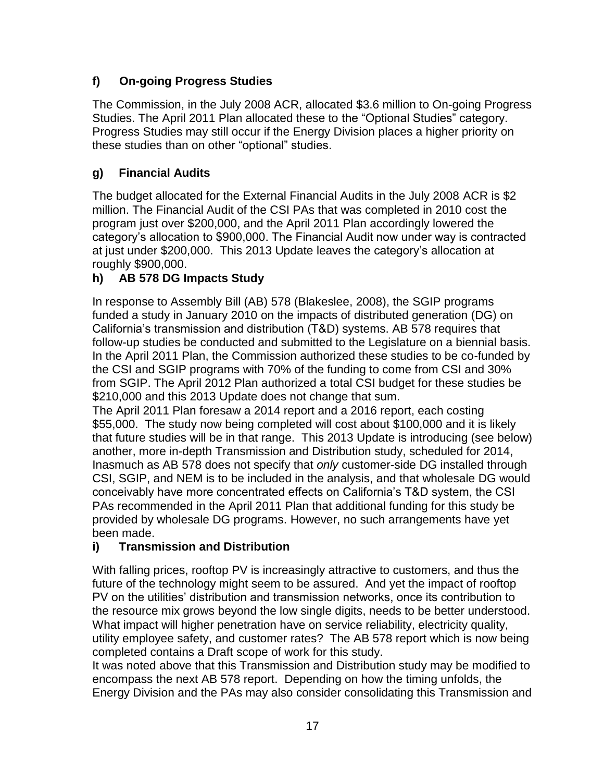# **f) On-going Progress Studies**

The Commission, in the July 2008 ACR, allocated \$3.6 million to On-going Progress Studies. The April 2011 Plan allocated these to the "Optional Studies" category. Progress Studies may still occur if the Energy Division places a higher priority on these studies than on other "optional" studies.

# **g) Financial Audits**

The budget allocated for the External Financial Audits in the July 2008 ACR is \$2 million. The Financial Audit of the CSI PAs that was completed in 2010 cost the program just over \$200,000, and the April 2011 Plan accordingly lowered the category's allocation to \$900,000. The Financial Audit now under way is contracted at just under \$200,000. This 2013 Update leaves the category's allocation at roughly \$900,000.

# **h) AB 578 DG Impacts Study**

In response to Assembly Bill (AB) 578 (Blakeslee, 2008), the SGIP programs funded a study in January 2010 on the impacts of distributed generation (DG) on California's transmission and distribution (T&D) systems. AB 578 requires that follow-up studies be conducted and submitted to the Legislature on a biennial basis. In the April 2011 Plan, the Commission authorized these studies to be co-funded by the CSI and SGIP programs with 70% of the funding to come from CSI and 30% from SGIP. The April 2012 Plan authorized a total CSI budget for these studies be \$210,000 and this 2013 Update does not change that sum.

The April 2011 Plan foresaw a 2014 report and a 2016 report, each costing \$55,000. The study now being completed will cost about \$100,000 and it is likely that future studies will be in that range. This 2013 Update is introducing (see below) another, more in-depth Transmission and Distribution study, scheduled for 2014, Inasmuch as AB 578 does not specify that *only* customer-side DG installed through CSI, SGIP, and NEM is to be included in the analysis, and that wholesale DG would conceivably have more concentrated effects on California's T&D system, the CSI PAs recommended in the April 2011 Plan that additional funding for this study be provided by wholesale DG programs. However, no such arrangements have yet been made.

# **i) Transmission and Distribution**

With falling prices, rooftop PV is increasingly attractive to customers, and thus the future of the technology might seem to be assured. And yet the impact of rooftop PV on the utilities' distribution and transmission networks, once its contribution to the resource mix grows beyond the low single digits, needs to be better understood. What impact will higher penetration have on service reliability, electricity quality, utility employee safety, and customer rates? The AB 578 report which is now being completed contains a Draft scope of work for this study.

It was noted above that this Transmission and Distribution study may be modified to encompass the next AB 578 report. Depending on how the timing unfolds, the Energy Division and the PAs may also consider consolidating this Transmission and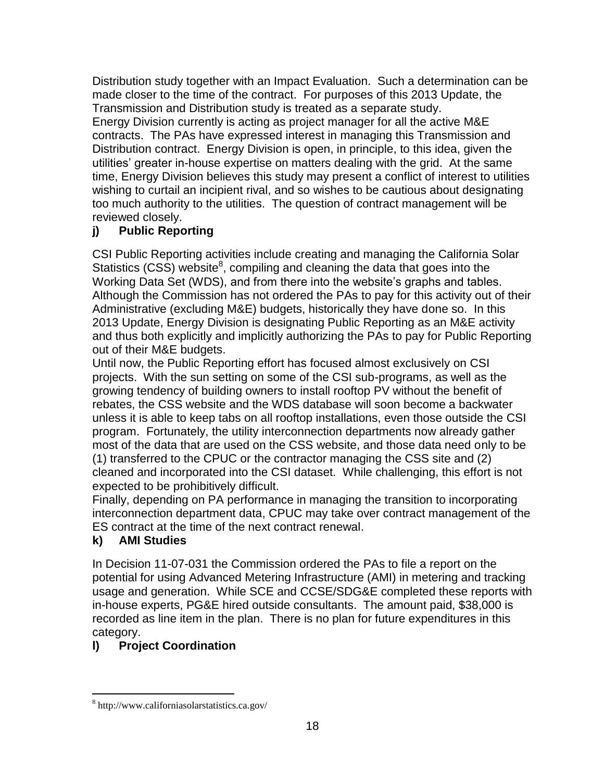Distribution study together with an Impact Evaluation. Such a determination can be made closer to the time of the contract. For purposes of this 2013 Update, the Transmission and Distribution study is treated as a separate study.

Energy Division currently is acting as project manager for all the active M&E contracts. The PAs have expressed interest in managing this Transmission and Distribution contract. Energy Division is open, in principle, to this idea, given the utilities' greater in-house expertise on matters dealing with the grid. At the same time, Energy Division believes this study may present a conflict of interest to utilities wishing to curtail an incipient rival, and so wishes to be cautious about designating too much authority to the utilities. The question of contract management will be reviewed closely.

# **j) Public Reporting**

CSI Public Reporting activities include creating and managing the California Solar Statistics  $(CSS)$  website<sup>8</sup>, compiling and cleaning the data that goes into the Working Data Set (WDS), and from there into the website's graphs and tables. Although the Commission has not ordered the PAs to pay for this activity out of their Administrative (excluding M&E) budgets, historically they have done so. In this 2013 Update, Energy Division is designating Public Reporting as an M&E activity and thus both explicitly and implicitly authorizing the PAs to pay for Public Reporting out of their M&E budgets.

Until now, the Public Reporting effort has focused almost exclusively on CSI projects. With the sun setting on some of the CSI sub-programs, as well as the growing tendency of building owners to install rooftop PV without the benefit of rebates, the CSS website and the WDS database will soon become a backwater unless it is able to keep tabs on all rooftop installations, even those outside the CSI program. Fortunately, the utility interconnection departments now already gather most of the data that are used on the CSS website, and those data need only to be (1) transferred to the CPUC or the contractor managing the CSS site and (2) cleaned and incorporated into the CSI dataset. While challenging, this effort is not expected to be prohibitively difficult.

Finally, depending on PA performance in managing the transition to incorporating interconnection department data, CPUC may take over contract management of the ES contract at the time of the next contract renewal.

# **k) AMI Studies**

 $\overline{a}$ 

In Decision 11-07-031 the Commission ordered the PAs to file a report on the potential for using Advanced Metering Infrastructure (AMI) in metering and tracking usage and generation. While SCE and CCSE/SDG&E completed these reports with in-house experts, PG&E hired outside consultants. The amount paid, \$38,000 is recorded as line item in the plan. There is no plan for future expenditures in this category.

# **l) Project Coordination**

<sup>8</sup> http://www.californiasolarstatistics.ca.gov/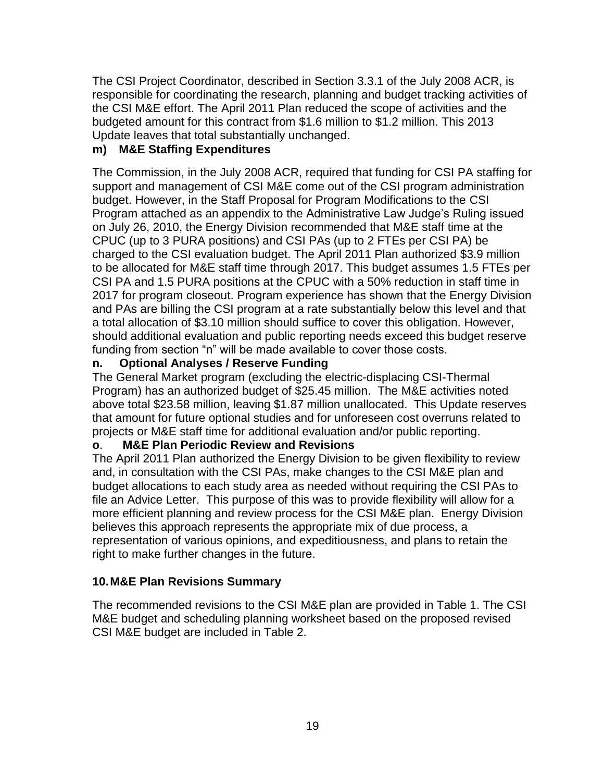The CSI Project Coordinator, described in Section 3.3.1 of the July 2008 ACR, is responsible for coordinating the research, planning and budget tracking activities of the CSI M&E effort. The April 2011 Plan reduced the scope of activities and the budgeted amount for this contract from \$1.6 million to \$1.2 million. This 2013 Update leaves that total substantially unchanged.

### **m) M&E Staffing Expenditures**

The Commission, in the July 2008 ACR, required that funding for CSI PA staffing for support and management of CSI M&E come out of the CSI program administration budget. However, in the Staff Proposal for Program Modifications to the CSI Program attached as an appendix to the Administrative Law Judge's Ruling issued on July 26, 2010, the Energy Division recommended that M&E staff time at the CPUC (up to 3 PURA positions) and CSI PAs (up to 2 FTEs per CSI PA) be charged to the CSI evaluation budget. The April 2011 Plan authorized \$3.9 million to be allocated for M&E staff time through 2017. This budget assumes 1.5 FTEs per CSI PA and 1.5 PURA positions at the CPUC with a 50% reduction in staff time in 2017 for program closeout. Program experience has shown that the Energy Division and PAs are billing the CSI program at a rate substantially below this level and that a total allocation of \$3.10 million should suffice to cover this obligation. However, should additional evaluation and public reporting needs exceed this budget reserve funding from section "n" will be made available to cover those costs.

### **n. Optional Analyses / Reserve Funding**

The General Market program (excluding the electric-displacing CSI-Thermal Program) has an authorized budget of \$25.45 million. The M&E activities noted above total \$23.58 million, leaving \$1.87 million unallocated. This Update reserves that amount for future optional studies and for unforeseen cost overruns related to projects or M&E staff time for additional evaluation and/or public reporting.

### **o**. **M&E Plan Periodic Review and Revisions**

The April 2011 Plan authorized the Energy Division to be given flexibility to review and, in consultation with the CSI PAs, make changes to the CSI M&E plan and budget allocations to each study area as needed without requiring the CSI PAs to file an Advice Letter. This purpose of this was to provide flexibility will allow for a more efficient planning and review process for the CSI M&E plan. Energy Division believes this approach represents the appropriate mix of due process, a representation of various opinions, and expeditiousness, and plans to retain the right to make further changes in the future.

## **10.M&E Plan Revisions Summary**

The recommended revisions to the CSI M&E plan are provided in Table 1. The CSI M&E budget and scheduling planning worksheet based on the proposed revised CSI M&E budget are included in Table 2.